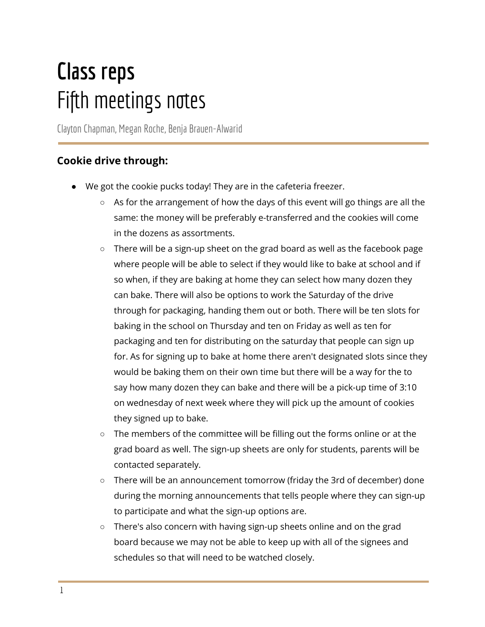# **Class reps** Fifth meetings notes

ClaytonChapman, Megan Roche, Benja Brauen-Alwarid

## **Cookie drive through:**

- We got the cookie pucks today! They are in the cafeteria freezer.
	- As for the arrangement of how the days of this event will go things are all the same: the money will be preferably e-transferred and the cookies will come in the dozens as assortments.
	- There will be a sign-up sheet on the grad board as well as the facebook page where people will be able to select if they would like to bake at school and if so when, if they are baking at home they can select how many dozen they can bake. There will also be options to work the Saturday of the drive through for packaging, handing them out or both. There will be ten slots for baking in the school on Thursday and ten on Friday as well as ten for packaging and ten for distributing on the saturday that people can sign up for. As for signing up to bake at home there aren't designated slots since they would be baking them on their own time but there will be a way for the to say how many dozen they can bake and there will be a pick-up time of 3:10 on wednesday of next week where they will pick up the amount of cookies they signed up to bake.
	- The members of the committee will be filling out the forms online or at the grad board as well. The sign-up sheets are only for students, parents will be contacted separately.
	- There will be an announcement tomorrow (friday the 3rd of december) done during the morning announcements that tells people where they can sign-up to participate and what the sign-up options are.
	- There's also concern with having sign-up sheets online and on the grad board because we may not be able to keep up with all of the signees and schedules so that will need to be watched closely.